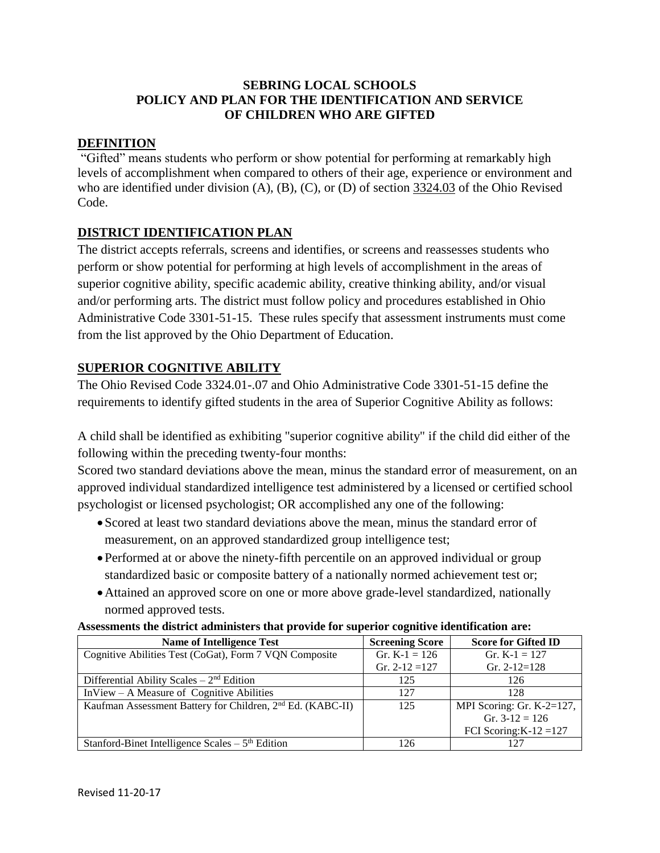# **SEBRING LOCAL SCHOOLS POLICY AND PLAN FOR THE IDENTIFICATION AND SERVICE OF CHILDREN WHO ARE GIFTED**

## **DEFINITION**

"Gifted" means students who perform or show potential for performing at remarkably high levels of accomplishment when compared to others of their age, experience or environment and who are identified under division  $(A)$ ,  $(B)$ ,  $(C)$ , or  $(D)$  of section  $3324.03$  of the Ohio Revised Code.

# **DISTRICT IDENTIFICATION PLAN**

The district accepts referrals, screens and identifies, or screens and reassesses students who perform or show potential for performing at high levels of accomplishment in the areas of superior cognitive ability, specific academic ability, creative thinking ability, and/or visual and/or performing arts. The district must follow policy and procedures established in Ohio Administrative Code 3301-51-15. These rules specify that assessment instruments must come from the list approved by the Ohio Department of Education.

# **SUPERIOR COGNITIVE ABILITY**

The Ohio Revised Code 3324.01-.07 and Ohio Administrative Code 3301-51-15 define the requirements to identify gifted students in the area of Superior Cognitive Ability as follows:

A child shall be identified as exhibiting "superior cognitive ability" if the child did either of the following within the preceding twenty-four months:

Scored two standard deviations above the mean, minus the standard error of measurement, on an approved individual standardized intelligence test administered by a licensed or certified school psychologist or licensed psychologist; OR accomplished any one of the following:

- Scored at least two standard deviations above the mean, minus the standard error of measurement, on an approved standardized group intelligence test;
- Performed at or above the ninety-fifth percentile on an approved individual or group standardized basic or composite battery of a nationally normed achievement test or;
- Attained an approved score on one or more above grade-level standardized, nationally normed approved tests.

| Assessments the district administers that provide for superior cognitive identification are: |  |  |  |
|----------------------------------------------------------------------------------------------|--|--|--|
|                                                                                              |  |  |  |

| <b>Name of Intelligence Test</b>                                       | <b>Screening Score</b> | <b>Score for Gifted ID</b> |
|------------------------------------------------------------------------|------------------------|----------------------------|
| Cognitive Abilities Test (CoGat), Form 7 VQN Composite                 | Gr. K-1 = $126$        | Gr. K-1 = $127$            |
|                                                                        | Gr. $2-12=127$         | Gr. $2-12=128$             |
| Differential Ability Scales $-2nd$ Edition                             | 125                    | 126                        |
| $InView-A$ Measure of Cognitive Abilities                              | 127                    | 128                        |
| Kaufman Assessment Battery for Children, 2 <sup>nd</sup> Ed. (KABC-II) | 125                    | MPI Scoring: Gr. K-2=127,  |
|                                                                        |                        | Gr. $3-12 = 126$           |
|                                                                        |                        | FCI Scoring: $K-12 = 127$  |
| Stanford-Binet Intelligence Scales $-5th$ Edition                      | 126                    | 127                        |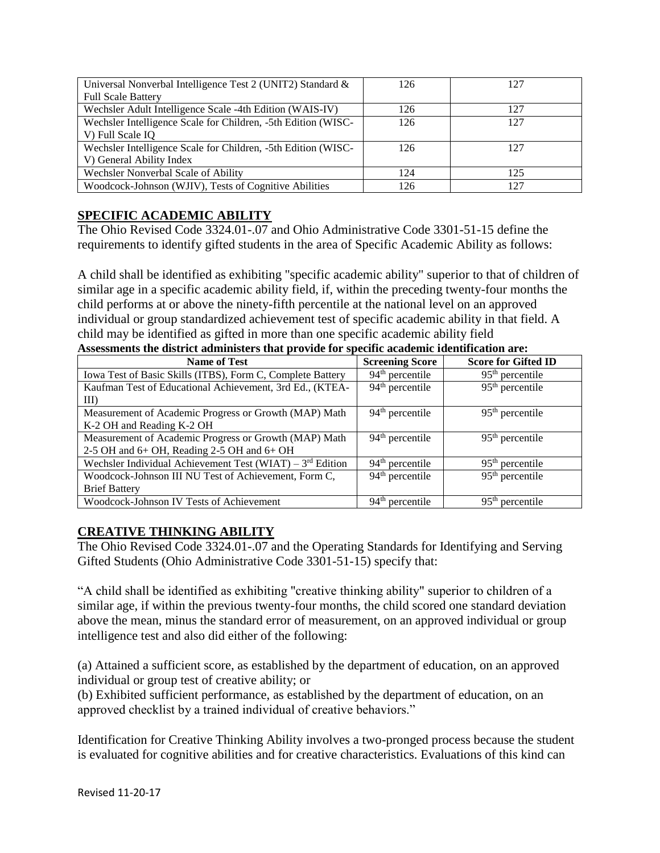| Universal Nonverbal Intelligence Test 2 (UNIT2) Standard &    | 126 | 127 |
|---------------------------------------------------------------|-----|-----|
| <b>Full Scale Battery</b>                                     |     |     |
| Wechsler Adult Intelligence Scale -4th Edition (WAIS-IV)      | 126 | 127 |
| Wechsler Intelligence Scale for Children, -5th Edition (WISC- | 126 | 127 |
| V) Full Scale IQ                                              |     |     |
| Wechsler Intelligence Scale for Children, -5th Edition (WISC- | 126 | 127 |
| V) General Ability Index                                      |     |     |
| Wechsler Nonverbal Scale of Ability                           | 124 | 125 |
| Woodcock-Johnson (WJIV), Tests of Cognitive Abilities         | 126 | 127 |

# **SPECIFIC ACADEMIC ABILITY**

The Ohio Revised Code 3324.01-.07 and Ohio Administrative Code 3301-51-15 define the requirements to identify gifted students in the area of Specific Academic Ability as follows:

A child shall be identified as exhibiting "specific academic ability" superior to that of children of similar age in a specific academic ability field, if, within the preceding twenty-four months the child performs at or above the ninety-fifth percentile at the national level on an approved individual or group standardized achievement test of specific academic ability in that field. A child may be identified as gifted in more than one specific academic ability field **Assessments the district administers that provide for specific academic identification are:** 

| <b>Name of Test</b>                                         | <b>Screening Score</b>      | <b>Score for Gifted ID</b> |
|-------------------------------------------------------------|-----------------------------|----------------------------|
| Iowa Test of Basic Skills (ITBS), Form C, Complete Battery  | $94th$ percentile           | $95th$ percentile          |
| Kaufman Test of Educational Achievement, 3rd Ed., (KTEA-    | 94 <sup>th</sup> percentile | $95th$ percentile          |
| $\rm{III}$                                                  |                             |                            |
| Measurement of Academic Progress or Growth (MAP) Math       | $94th$ percentile           | $95th$ percentile          |
| K-2 OH and Reading K-2 OH                                   |                             |                            |
| Measurement of Academic Progress or Growth (MAP) Math       | 94 <sup>th</sup> percentile | $95th$ percentile          |
| 2-5 OH and $6+$ OH, Reading 2-5 OH and $6+$ OH              |                             |                            |
| Wechsler Individual Achievement Test (WIAT) – $3rd$ Edition | $94th$ percentile           | $95th$ percentile          |
| Woodcock-Johnson III NU Test of Achievement, Form C,        | $94th$ percentile           | $95th$ percentile          |
| <b>Brief Battery</b>                                        |                             |                            |
| Woodcock-Johnson IV Tests of Achievement                    | $94th$ percentile           | $95th$ percentile          |

# **CREATIVE THINKING ABILITY**

The Ohio Revised Code 3324.01-.07 and the Operating Standards for Identifying and Serving Gifted Students (Ohio Administrative Code 3301-51-15) specify that:

"A child shall be identified as exhibiting "creative thinking ability" superior to children of a similar age, if within the previous twenty-four months, the child scored one standard deviation above the mean, minus the standard error of measurement, on an approved individual or group intelligence test and also did either of the following:

(a) Attained a sufficient score, as established by the department of education, on an approved individual or group test of creative ability; or

(b) Exhibited sufficient performance, as established by the department of education, on an approved checklist by a trained individual of creative behaviors."

Identification for Creative Thinking Ability involves a two-pronged process because the student is evaluated for cognitive abilities and for creative characteristics. Evaluations of this kind can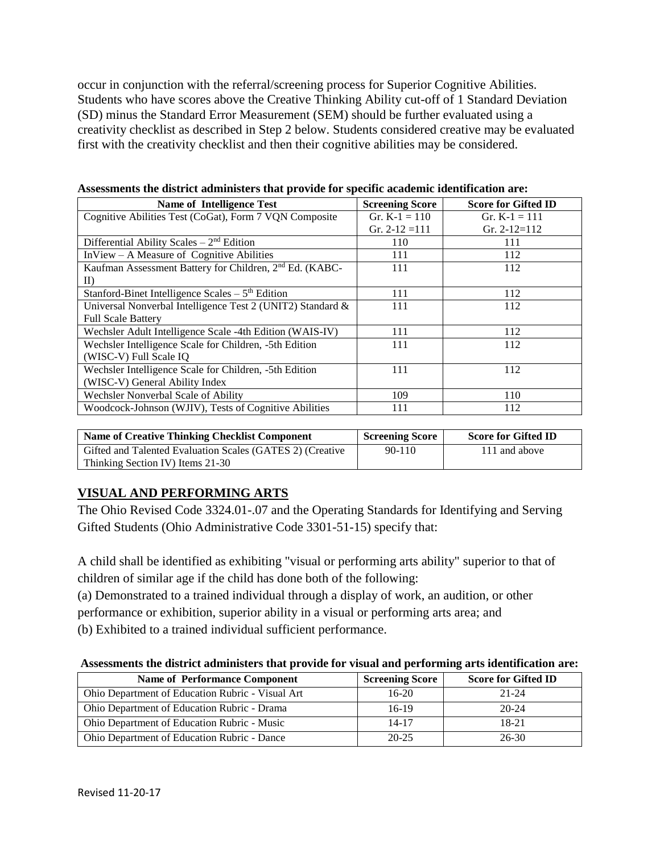occur in conjunction with the referral/screening process for Superior Cognitive Abilities. Students who have scores above the Creative Thinking Ability cut-off of 1 Standard Deviation (SD) minus the Standard Error Measurement (SEM) should be further evaluated using a creativity checklist as described in Step 2 below. Students considered creative may be evaluated first with the creativity checklist and then their cognitive abilities may be considered.

| <b>Name of Intelligence Test</b>                                    | <b>Screening Score</b> | <b>Score for Gifted ID</b> |
|---------------------------------------------------------------------|------------------------|----------------------------|
| Cognitive Abilities Test (CoGat), Form 7 VQN Composite              | Gr. K-1 = $110$        | Gr. K-1 = $111$            |
|                                                                     | Gr. $2-12=111$         | Gr. $2-12=112$             |
| Differential Ability Scales $-2nd$ Edition                          | 110                    | 111                        |
| InView – A Measure of Cognitive Abilities                           | 111                    | 112                        |
| Kaufman Assessment Battery for Children, 2 <sup>nd</sup> Ed. (KABC- | 111                    | 112                        |
| $_{\rm In}$                                                         |                        |                            |
| Stanford-Binet Intelligence Scales $-5th$ Edition                   | 111                    | 112                        |
| Universal Nonverbal Intelligence Test 2 (UNIT2) Standard &          | 111                    | 112                        |
| <b>Full Scale Battery</b>                                           |                        |                            |
| Wechsler Adult Intelligence Scale -4th Edition (WAIS-IV)            | 111                    | 112                        |
| Wechsler Intelligence Scale for Children, -5th Edition              | 111                    | 112                        |
| (WISC-V) Full Scale IQ                                              |                        |                            |
| Wechsler Intelligence Scale for Children, -5th Edition              | 111                    | 112                        |
| (WISC-V) General Ability Index                                      |                        |                            |
| Wechsler Nonverbal Scale of Ability                                 | 109                    | 110                        |
| Woodcock-Johnson (WJIV), Tests of Cognitive Abilities               | 111                    | 112                        |

| Assessments the district administers that provide for specific academic identification are: |  |  |  |
|---------------------------------------------------------------------------------------------|--|--|--|
|---------------------------------------------------------------------------------------------|--|--|--|

| <b>Name of Creative Thinking Checklist Component</b>      | <b>Screening Score</b> | <b>Score for Gifted ID</b> |
|-----------------------------------------------------------|------------------------|----------------------------|
| Gifted and Talented Evaluation Scales (GATES 2) (Creative | $90 - 110$             | 111 and above              |
| Thinking Section IV) Items 21-30                          |                        |                            |

# **VISUAL AND PERFORMING ARTS**

The Ohio Revised Code 3324.01-.07 and the Operating Standards for Identifying and Serving Gifted Students (Ohio Administrative Code 3301-51-15) specify that:

A child shall be identified as exhibiting "visual or performing arts ability" superior to that of children of similar age if the child has done both of the following:

(a) Demonstrated to a trained individual through a display of work, an audition, or other

performance or exhibition, superior ability in a visual or performing arts area; and

(b) Exhibited to a trained individual sufficient performance.

#### **Assessments the district administers that provide for visual and performing arts identification are:**

| <b>Name of Performance Component</b>             | <b>Screening Score</b> | <b>Score for Gifted ID</b> |
|--------------------------------------------------|------------------------|----------------------------|
| Ohio Department of Education Rubric - Visual Art | $16-20$                | $21 - 24$                  |
| Ohio Department of Education Rubric - Drama      | $16-19$                | $20 - 24$                  |
| Ohio Department of Education Rubric - Music      | $14 - 17$              | 18-21                      |
| Ohio Department of Education Rubric - Dance      | $20 - 25$              | $26 - 30$                  |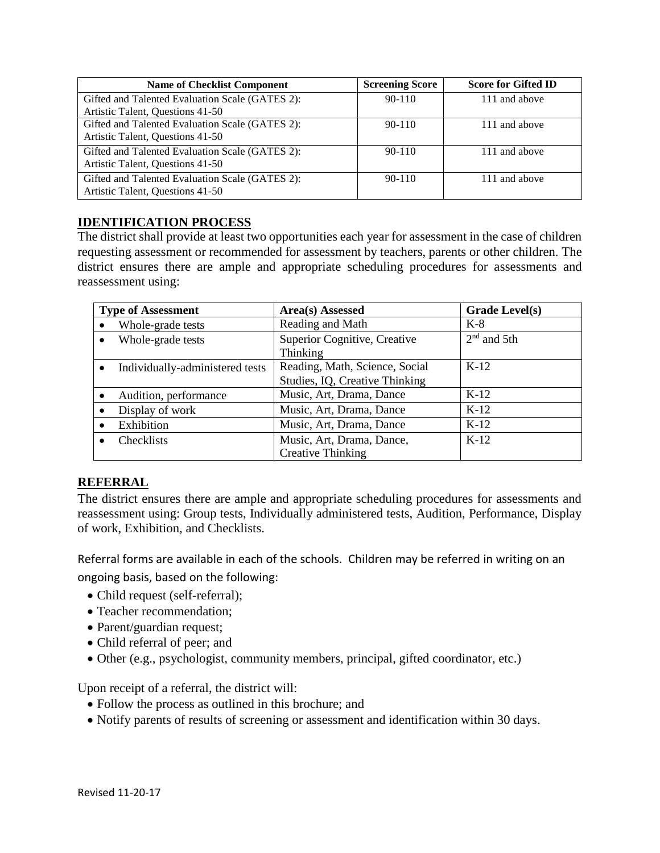| <b>Name of Checklist Component</b>              | <b>Screening Score</b> | <b>Score for Gifted ID</b> |
|-------------------------------------------------|------------------------|----------------------------|
| Gifted and Talented Evaluation Scale (GATES 2): | $90 - 110$             | 111 and above              |
| Artistic Talent, Questions 41-50                |                        |                            |
| Gifted and Talented Evaluation Scale (GATES 2): | $90 - 110$             | 111 and above              |
| Artistic Talent, Questions 41-50                |                        |                            |
| Gifted and Talented Evaluation Scale (GATES 2): | $90 - 110$             | 111 and above              |
| Artistic Talent, Questions 41-50                |                        |                            |
| Gifted and Talented Evaluation Scale (GATES 2): | $90 - 110$             | 111 and above              |
| Artistic Talent, Questions 41-50                |                        |                            |

### **IDENTIFICATION PROCESS**

The district shall provide at least two opportunities each year for assessment in the case of children requesting assessment or recommended for assessment by teachers, parents or other children. The district ensures there are ample and appropriate scheduling procedures for assessments and reassessment using:

| <b>Type of Assessment</b>       | Area(s) Assessed               | <b>Grade Level(s)</b> |
|---------------------------------|--------------------------------|-----------------------|
| Whole-grade tests               | Reading and Math               | $K-8$                 |
| Whole-grade tests               | Superior Cognitive, Creative   | $2nd$ and 5th         |
|                                 | Thinking                       |                       |
| Individually-administered tests | Reading, Math, Science, Social | $K-12$                |
|                                 | Studies, IQ, Creative Thinking |                       |
| Audition, performance           | Music, Art, Drama, Dance       | $K-12$                |
| Display of work                 | Music, Art, Drama, Dance       | $K-12$                |
| Exhibition                      | Music, Art, Drama, Dance       | $K-12$                |
| Checklists                      | Music, Art, Drama, Dance,      | $K-12$                |
|                                 | <b>Creative Thinking</b>       |                       |

# **REFERRAL**

The district ensures there are ample and appropriate scheduling procedures for assessments and reassessment using: Group tests, Individually administered tests, Audition, Performance, Display of work, Exhibition, and Checklists.

Referral forms are available in each of the schools. Children may be referred in writing on an

ongoing basis, based on the following:

- Child request (self-referral);
- Teacher recommendation:
- Parent/guardian request;
- Child referral of peer; and
- Other (e.g., psychologist, community members, principal, gifted coordinator, etc.)

Upon receipt of a referral, the district will:

- Follow the process as outlined in this brochure; and
- Notify parents of results of screening or assessment and identification within 30 days.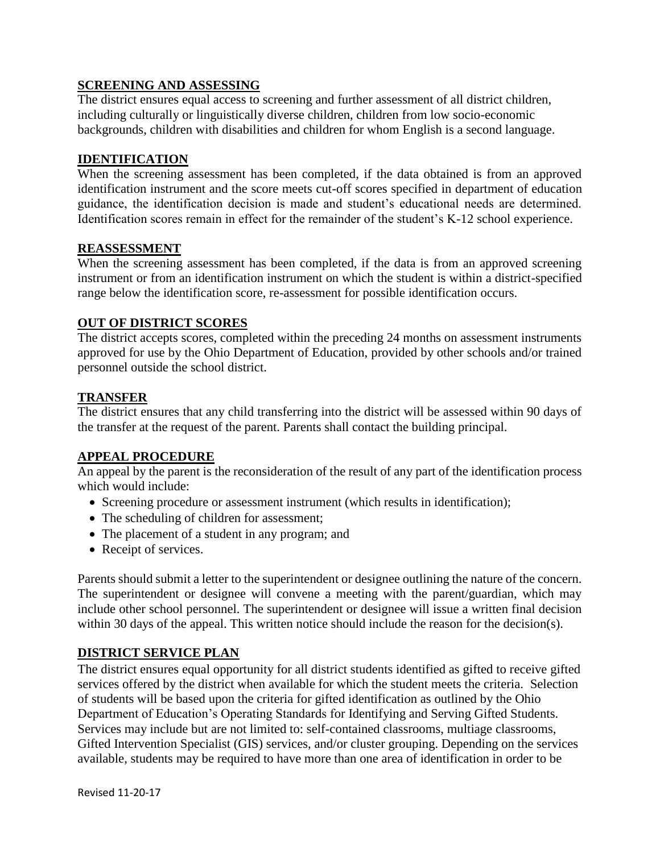## **SCREENING AND ASSESSING**

The district ensures equal access to screening and further assessment of all district children, including culturally or linguistically diverse children, children from low socio-economic backgrounds, children with disabilities and children for whom English is a second language.

#### **IDENTIFICATION**

When the screening assessment has been completed, if the data obtained is from an approved identification instrument and the score meets cut-off scores specified in department of education guidance, the identification decision is made and student's educational needs are determined. Identification scores remain in effect for the remainder of the student's K-12 school experience.

#### **REASSESSMENT**

When the screening assessment has been completed, if the data is from an approved screening instrument or from an identification instrument on which the student is within a district-specified range below the identification score, re-assessment for possible identification occurs.

#### **OUT OF DISTRICT SCORES**

The district accepts scores, completed within the preceding 24 months on assessment instruments approved for use by the Ohio Department of Education, provided by other schools and/or trained personnel outside the school district.

#### **TRANSFER**

The district ensures that any child transferring into the district will be assessed within 90 days of the transfer at the request of the parent. Parents shall contact the building principal.

#### **APPEAL PROCEDURE**

An appeal by the parent is the reconsideration of the result of any part of the identification process which would include:

- Screening procedure or assessment instrument (which results in identification);
- The scheduling of children for assessment;
- The placement of a student in any program; and
- Receipt of services.

Parents should submit a letter to the superintendent or designee outlining the nature of the concern. The superintendent or designee will convene a meeting with the parent/guardian, which may include other school personnel. The superintendent or designee will issue a written final decision within 30 days of the appeal. This written notice should include the reason for the decision(s).

#### **DISTRICT SERVICE PLAN**

The district ensures equal opportunity for all district students identified as gifted to receive gifted services offered by the district when available for which the student meets the criteria. Selection of students will be based upon the criteria for gifted identification as outlined by the Ohio Department of Education's Operating Standards for Identifying and Serving Gifted Students. Services may include but are not limited to: self-contained classrooms, multiage classrooms, Gifted Intervention Specialist (GIS) services, and/or cluster grouping. Depending on the services available, students may be required to have more than one area of identification in order to be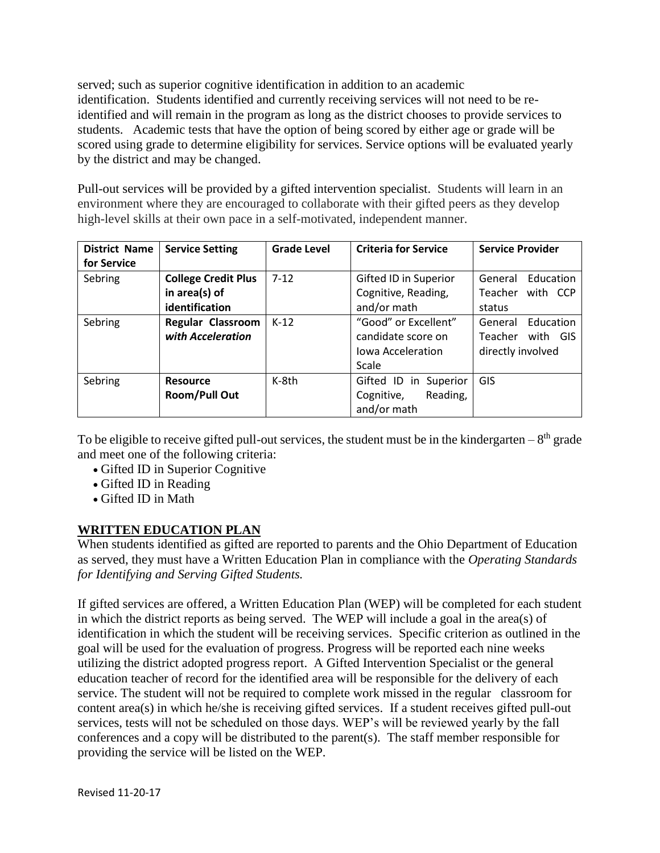served; such as superior cognitive identification in addition to an academic identification. Students identified and currently receiving services will not need to be reidentified and will remain in the program as long as the district chooses to provide services to students. Academic tests that have the option of being scored by either age or grade will be scored using grade to determine eligibility for services. Service options will be evaluated yearly by the district and may be changed.

Pull-out services will be provided by a gifted intervention specialist. Students will learn in an environment where they are encouraged to collaborate with their gifted peers as they develop high-level skills at their own pace in a self-motivated, independent manner.

| <b>District Name</b><br>for Service | <b>Service Setting</b>                                        | <b>Grade Level</b> | <b>Criteria for Service</b>                                                     | <b>Service Provider</b>                                          |
|-------------------------------------|---------------------------------------------------------------|--------------------|---------------------------------------------------------------------------------|------------------------------------------------------------------|
| Sebring                             | <b>College Credit Plus</b><br>in area(s) of<br>identification | $7 - 12$           | Gifted ID in Superior<br>Cognitive, Reading,<br>and/or math                     | Education<br>General<br>Teacher<br>with CCP<br>status            |
| Sebring                             | <b>Regular Classroom</b><br>with Acceleration                 | $K-12$             | "Good" or Excellent"<br>candidate score on<br><b>Iowa Acceleration</b><br>Scale | Education<br>General<br>Teacher<br>with GIS<br>directly involved |
| Sebring                             | <b>Resource</b><br><b>Room/Pull Out</b>                       | K-8th              | Gifted ID in Superior<br>Reading,<br>Cognitive,<br>and/or math                  | GIS                                                              |

To be eligible to receive gifted pull-out services, the student must be in the kindergarten  $-8<sup>th</sup>$  grade and meet one of the following criteria:

- Gifted ID in Superior Cognitive
- Gifted ID in Reading
- Gifted ID in Math

# **WRITTEN EDUCATION PLAN**

When students identified as gifted are reported to parents and the Ohio Department of Education as served, they must have a Written Education Plan in compliance with the *Operating Standards for Identifying and Serving Gifted Students.*

If gifted services are offered, a Written Education Plan (WEP) will be completed for each student in which the district reports as being served. The WEP will include a goal in the area(s) of identification in which the student will be receiving services. Specific criterion as outlined in the goal will be used for the evaluation of progress. Progress will be reported each nine weeks utilizing the district adopted progress report. A Gifted Intervention Specialist or the general education teacher of record for the identified area will be responsible for the delivery of each service. The student will not be required to complete work missed in the regular classroom for content area(s) in which he/she is receiving gifted services. If a student receives gifted pull-out services, tests will not be scheduled on those days. WEP's will be reviewed yearly by the fall conferences and a copy will be distributed to the parent(s). The staff member responsible for providing the service will be listed on the WEP.